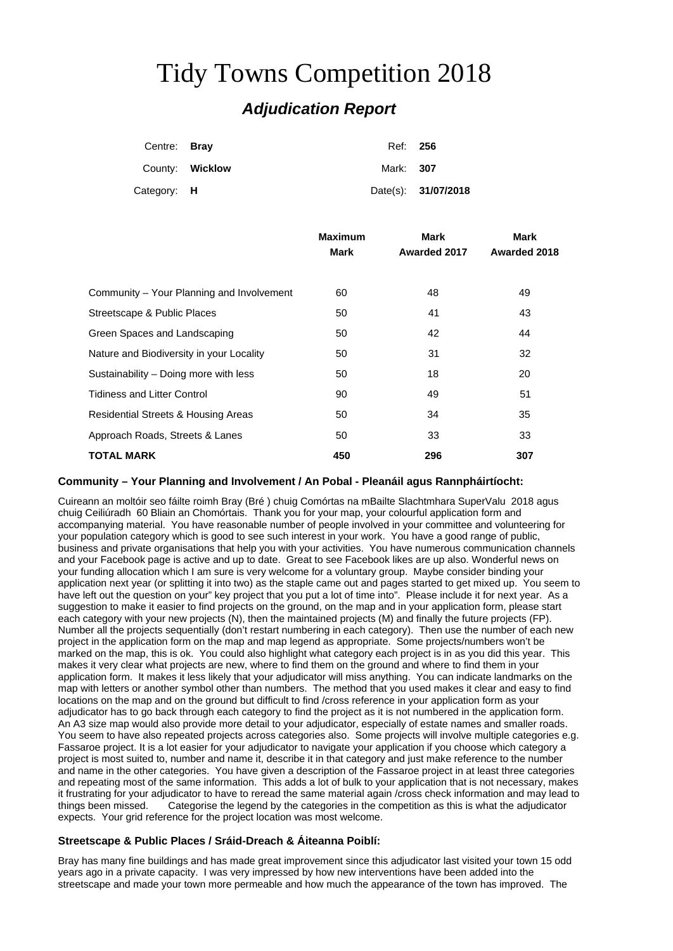# Tidy Towns Competition 2018

# *Adjudication Report*

| Centre: Bray |                 | Ref: 256         |                     |
|--------------|-----------------|------------------|---------------------|
|              | County: Wicklow | Mark: <b>307</b> |                     |
| Category: H  |                 |                  | Date(s): 31/07/2018 |

| <b>Maximum</b> | Mark        | Mark         |
|----------------|-------------|--------------|
|                |             | Awarded 2018 |
|                |             |              |
| 60             | 48          | 49           |
| 50             | 41          | 43           |
| 50             | 42          | 44           |
| 50             | 31          | 32           |
| 50             | 18          | 20           |
| 90             | 49          | 51           |
| 50             | 34          | 35           |
| 50             | 33          | 33           |
| 450            | 296         | 307          |
|                | <b>Mark</b> | Awarded 2017 |

## **Community – Your Planning and Involvement / An Pobal - Pleanáil agus Rannpháirtíocht:**

Cuireann an moltóir seo fáilte roimh Bray (Bré ) chuig Comórtas na mBailte Slachtmhara SuperValu 2018 agus chuig Ceiliúradh 60 Bliain an Chomórtais. Thank you for your map, your colourful application form and accompanying material. You have reasonable number of people involved in your committee and volunteering for your population category which is good to see such interest in your work. You have a good range of public, business and private organisations that help you with your activities. You have numerous communication channels and your Facebook page is active and up to date. Great to see Facebook likes are up also. Wonderful news on your funding allocation which I am sure is very welcome for a voluntary group. Maybe consider binding your application next year (or splitting it into two) as the staple came out and pages started to get mixed up. You seem to have left out the question on your" key project that you put a lot of time into". Please include it for next year. As a suggestion to make it easier to find projects on the ground, on the map and in your application form, please start each category with your new projects (N), then the maintained projects (M) and finally the future projects (FP). Number all the projects sequentially (don't restart numbering in each category). Then use the number of each new project in the application form on the map and map legend as appropriate. Some projects/numbers won't be marked on the map, this is ok. You could also highlight what category each project is in as you did this year. This makes it very clear what projects are new, where to find them on the ground and where to find them in your application form. It makes it less likely that your adjudicator will miss anything. You can indicate landmarks on the map with letters or another symbol other than numbers. The method that you used makes it clear and easy to find locations on the map and on the ground but difficult to find /cross reference in your application form as your adjudicator has to go back through each category to find the project as it is not numbered in the application form. An A3 size map would also provide more detail to your adjudicator, especially of estate names and smaller roads. You seem to have also repeated projects across categories also. Some projects will involve multiple categories e.g. Fassaroe project. It is a lot easier for your adjudicator to navigate your application if you choose which category a project is most suited to, number and name it, describe it in that category and just make reference to the number and name in the other categories. You have given a description of the Fassaroe project in at least three categories and repeating most of the same information. This adds a lot of bulk to your application that is not necessary, makes it frustrating for your adjudicator to have to reread the same material again /cross check information and may lead to<br>things been missed. Categorise the legend by the categories in the competition as this is what the adiu Categorise the legend by the categories in the competition as this is what the adjudicator expects. Your grid reference for the project location was most welcome.

# **Streetscape & Public Places / Sráid-Dreach & Áiteanna Poiblí:**

Bray has many fine buildings and has made great improvement since this adjudicator last visited your town 15 odd years ago in a private capacity. I was very impressed by how new interventions have been added into the streetscape and made your town more permeable and how much the appearance of the town has improved. The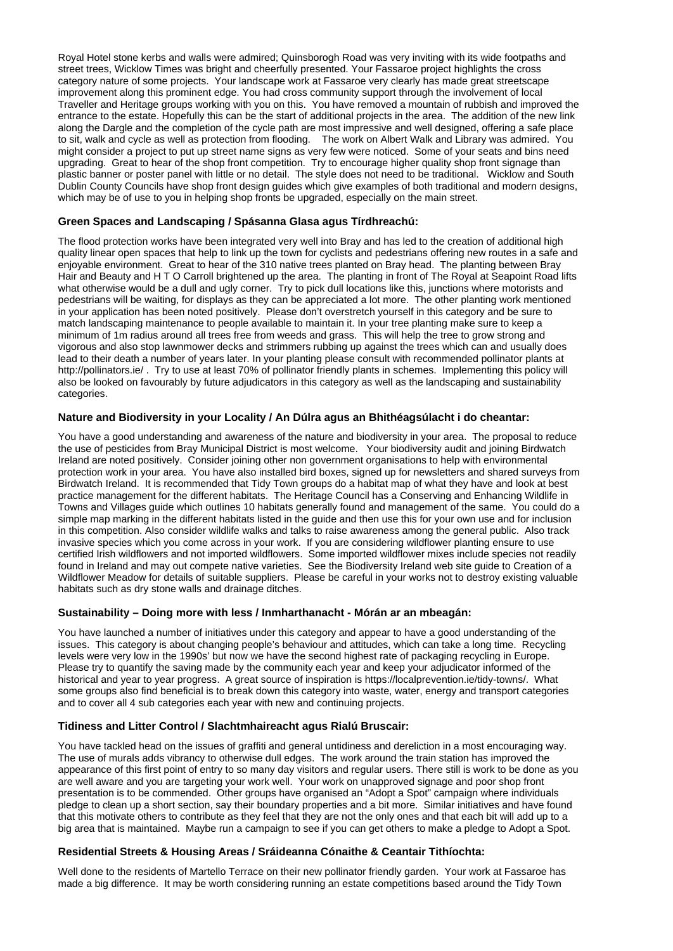Royal Hotel stone kerbs and walls were admired; Quinsborogh Road was very inviting with its wide footpaths and street trees, Wicklow Times was bright and cheerfully presented. Your Fassaroe project highlights the cross category nature of some projects. Your landscape work at Fassaroe very clearly has made great streetscape improvement along this prominent edge. You had cross community support through the involvement of local Traveller and Heritage groups working with you on this. You have removed a mountain of rubbish and improved the entrance to the estate. Hopefully this can be the start of additional projects in the area. The addition of the new link along the Dargle and the completion of the cycle path are most impressive and well designed, offering a safe place to sit, walk and cycle as well as protection from flooding. The work on Albert Walk and Library was admired. You might consider a project to put up street name signs as very few were noticed. Some of your seats and bins need upgrading. Great to hear of the shop front competition. Try to encourage higher quality shop front signage than plastic banner or poster panel with little or no detail. The style does not need to be traditional. Wicklow and South Dublin County Councils have shop front design guides which give examples of both traditional and modern designs, which may be of use to you in helping shop fronts be upgraded, especially on the main street.

#### **Green Spaces and Landscaping / Spásanna Glasa agus Tírdhreachú:**

The flood protection works have been integrated very well into Bray and has led to the creation of additional high quality linear open spaces that help to link up the town for cyclists and pedestrians offering new routes in a safe and enjoyable environment. Great to hear of the 310 native trees planted on Bray head. The planting between Bray Hair and Beauty and H T O Carroll brightened up the area. The planting in front of The Royal at Seapoint Road lifts what otherwise would be a dull and ugly corner. Try to pick dull locations like this, junctions where motorists and pedestrians will be waiting, for displays as they can be appreciated a lot more. The other planting work mentioned in your application has been noted positively. Please don't overstretch yourself in this category and be sure to match landscaping maintenance to people available to maintain it. In your tree planting make sure to keep a minimum of 1m radius around all trees free from weeds and grass. This will help the tree to grow strong and vigorous and also stop lawnmower decks and strimmers rubbing up against the trees which can and usually does lead to their death a number of years later. In your planting please consult with recommended pollinator plants at http://pollinators.ie/ . Try to use at least 70% of pollinator friendly plants in schemes. Implementing this policy will also be looked on favourably by future adjudicators in this category as well as the landscaping and sustainability categories.

### **Nature and Biodiversity in your Locality / An Dúlra agus an Bhithéagsúlacht i do cheantar:**

You have a good understanding and awareness of the nature and biodiversity in your area. The proposal to reduce the use of pesticides from Bray Municipal District is most welcome. Your biodiversity audit and joining Birdwatch Ireland are noted positively. Consider joining other non government organisations to help with environmental protection work in your area. You have also installed bird boxes, signed up for newsletters and shared surveys from Birdwatch Ireland. It is recommended that Tidy Town groups do a habitat map of what they have and look at best practice management for the different habitats. The Heritage Council has a Conserving and Enhancing Wildlife in Towns and Villages guide which outlines 10 habitats generally found and management of the same. You could do a simple map marking in the different habitats listed in the guide and then use this for your own use and for inclusion in this competition. Also consider wildlife walks and talks to raise awareness among the general public. Also track invasive species which you come across in your work. If you are considering wildflower planting ensure to use certified Irish wildflowers and not imported wildflowers. Some imported wildflower mixes include species not readily found in Ireland and may out compete native varieties. See the Biodiversity Ireland web site guide to Creation of a Wildflower Meadow for details of suitable suppliers. Please be careful in your works not to destroy existing valuable habitats such as dry stone walls and drainage ditches.

#### **Sustainability – Doing more with less / Inmharthanacht - Mórán ar an mbeagán:**

You have launched a number of initiatives under this category and appear to have a good understanding of the issues. This category is about changing people's behaviour and attitudes, which can take a long time. Recycling levels were very low in the 1990s' but now we have the second highest rate of packaging recycling in Europe. Please try to quantify the saving made by the community each year and keep your adjudicator informed of the historical and year to year progress. A great source of inspiration is https://localprevention.ie/tidy-towns/. What some groups also find beneficial is to break down this category into waste, water, energy and transport categories and to cover all 4 sub categories each year with new and continuing projects.

# **Tidiness and Litter Control / Slachtmhaireacht agus Rialú Bruscair:**

You have tackled head on the issues of graffiti and general untidiness and dereliction in a most encouraging way. The use of murals adds vibrancy to otherwise dull edges. The work around the train station has improved the appearance of this first point of entry to so many day visitors and regular users. There still is work to be done as you are well aware and you are targeting your work well. Your work on unapproved signage and poor shop front presentation is to be commended. Other groups have organised an "Adopt a Spot" campaign where individuals pledge to clean up a short section, say their boundary properties and a bit more. Similar initiatives and have found that this motivate others to contribute as they feel that they are not the only ones and that each bit will add up to a big area that is maintained. Maybe run a campaign to see if you can get others to make a pledge to Adopt a Spot.

#### **Residential Streets & Housing Areas / Sráideanna Cónaithe & Ceantair Tithíochta:**

Well done to the residents of Martello Terrace on their new pollinator friendly garden. Your work at Fassaroe has made a big difference. It may be worth considering running an estate competitions based around the Tidy Town